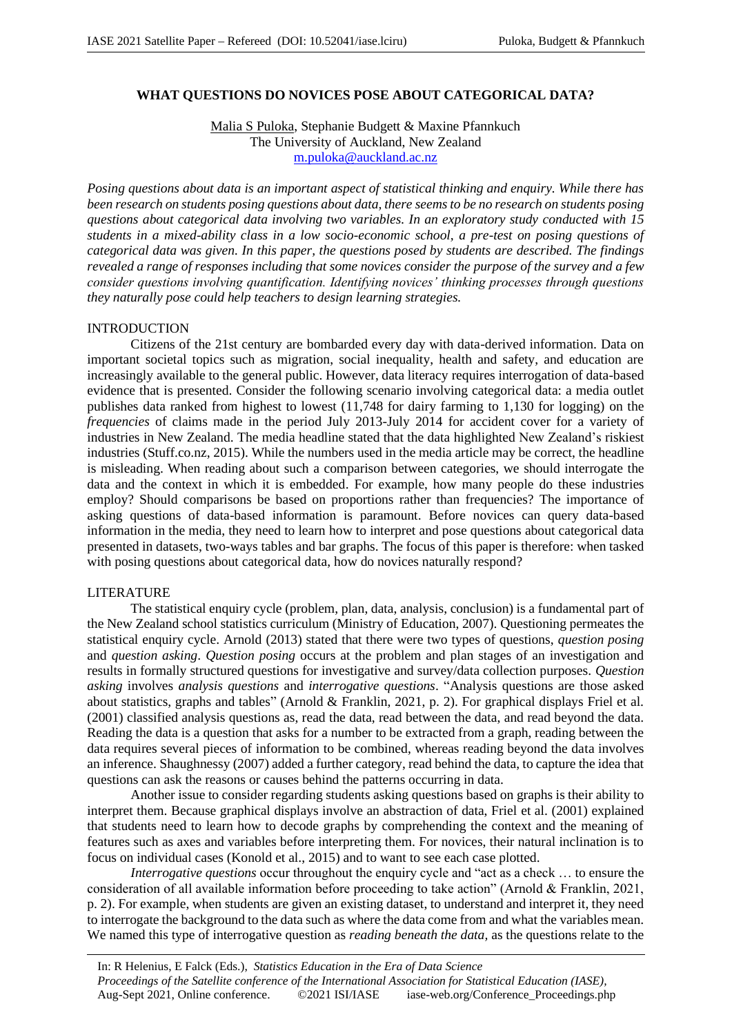## **WHAT QUESTIONS DO NOVICES POSE ABOUT CATEGORICAL DATA?**

Malia S Puloka, Stephanie Budgett & Maxine Pfannkuch The University of Auckland, New Zealand m.puloka@auckland.ac.nz

*Posing questions about data is an important aspect of statistical thinking and enquiry. While there has been research on students posing questions about data, there seems to be no research on students posing questions about categorical data involving two variables. In an exploratory study conducted with 15 students in a mixed-ability class in a low socio-economic school, a pre-test on posing questions of categorical data was given. In this paper, the questions posed by students are described. The findings revealed a range of responses including that some novices consider the purpose of the survey and a few consider questions involving quantification. Identifying novices' thinking processes through questions they naturally pose could help teachers to design learning strategies.*

### INTRODUCTION

Citizens of the 21st century are bombarded every day with data-derived information. Data on important societal topics such as migration, social inequality, health and safety, and education are increasingly available to the general public. However, data literacy requires interrogation of data-based evidence that is presented. Consider the following scenario involving categorical data: a media outlet publishes data ranked from highest to lowest (11,748 for dairy farming to 1,130 for logging) on the *frequencies* of claims made in the period July 2013-July 2014 for accident cover for a variety of industries in New Zealand. The media headline stated that the data highlighted New Zealand's riskiest industries (Stuff.co.nz, 2015). While the numbers used in the media article may be correct, the headline is misleading. When reading about such a comparison between categories, we should interrogate the data and the context in which it is embedded. For example, how many people do these industries employ? Should comparisons be based on proportions rather than frequencies? The importance of asking questions of data-based information is paramount. Before novices can query data-based information in the media, they need to learn how to interpret and pose questions about categorical data presented in datasets, two-ways tables and bar graphs. The focus of this paper is therefore: when tasked with posing questions about categorical data, how do novices naturally respond?

#### LITERATURE

The statistical enquiry cycle (problem, plan, data, analysis, conclusion) is a fundamental part of the New Zealand school statistics curriculum (Ministry of Education, 2007). Questioning permeates the statistical enquiry cycle. Arnold (2013) stated that there were two types of questions, *question posing* and *question asking*. *Question posing* occurs at the problem and plan stages of an investigation and results in formally structured questions for investigative and survey/data collection purposes. *Question asking* involves *analysis questions* and *interrogative questions*. "Analysis questions are those asked about statistics, graphs and tables" (Arnold & Franklin, 2021, p. 2). For graphical displays Friel et al. (2001) classified analysis questions as, read the data, read between the data, and read beyond the data. Reading the data is a question that asks for a number to be extracted from a graph, reading between the data requires several pieces of information to be combined, whereas reading beyond the data involves an inference. Shaughnessy (2007) added a further category, read behind the data, to capture the idea that questions can ask the reasons or causes behind the patterns occurring in data.

Another issue to consider regarding students asking questions based on graphs is their ability to interpret them. Because graphical displays involve an abstraction of data, Friel et al. (2001) explained that students need to learn how to decode graphs by comprehending the context and the meaning of features such as axes and variables before interpreting them. For novices, their natural inclination is to focus on individual cases (Konold et al., 2015) and to want to see each case plotted.

*Interrogative questions* occur throughout the enquiry cycle and "act as a check … to ensure the consideration of all available information before proceeding to take action" (Arnold & Franklin, 2021, p. 2). For example, when students are given an existing dataset, to understand and interpret it, they need to interrogate the background to the data such as where the data come from and what the variables mean. We named this type of interrogative question as *reading beneath the data,* as the questions relate to the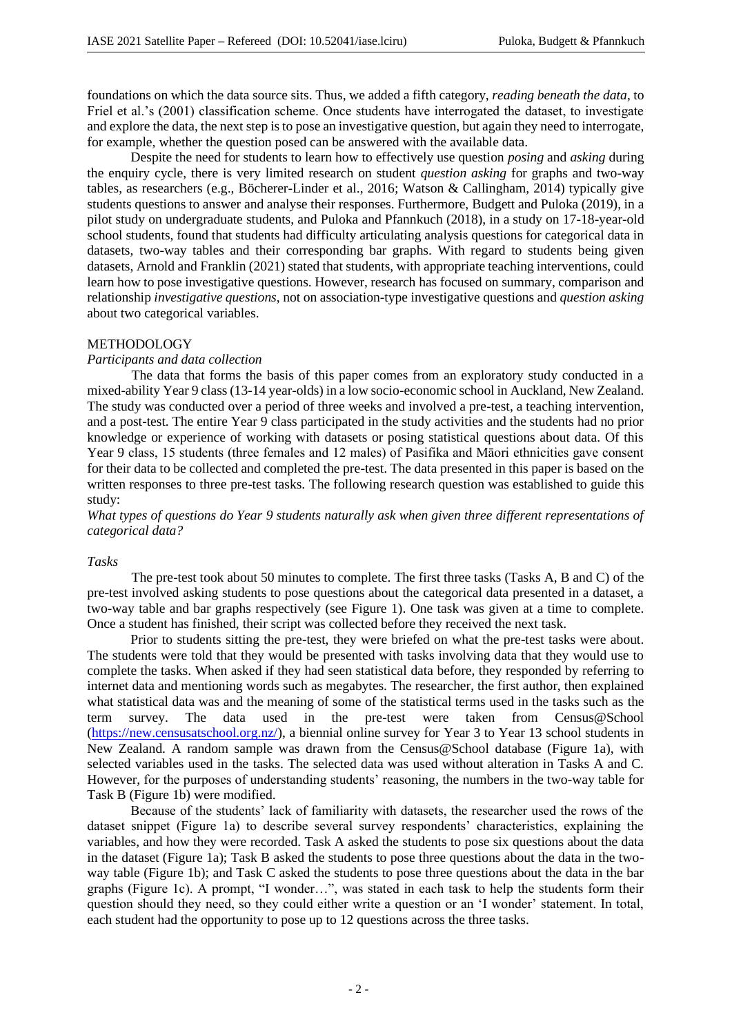foundations on which the data source sits. Thus, we added a fifth category, *reading beneath the data*, to Friel et al.'s (2001) classification scheme. Once students have interrogated the dataset, to investigate and explore the data, the next step is to pose an investigative question, but again they need to interrogate, for example, whether the question posed can be answered with the available data.

Despite the need for students to learn how to effectively use question *posing* and *asking* during the enquiry cycle, there is very limited research on student *question asking* for graphs and two-way tables, as researchers (e.g., Böcherer-Linder et al., 2016; Watson & Callingham, 2014) typically give students questions to answer and analyse their responses. Furthermore, Budgett and Puloka (2019), in a pilot study on undergraduate students, and Puloka and Pfannkuch (2018), in a study on 17-18-year-old school students, found that students had difficulty articulating analysis questions for categorical data in datasets, two-way tables and their corresponding bar graphs. With regard to students being given datasets, Arnold and Franklin (2021) stated that students, with appropriate teaching interventions, could learn how to pose investigative questions. However, research has focused on summary, comparison and relationship *investigative questions*, not on association-type investigative questions and *question asking* about two categorical variables.

#### METHODOLOGY

#### *Participants and data collection*

The data that forms the basis of this paper comes from an exploratory study conducted in a mixed-ability Year 9 class (13-14 year-olds) in a low socio-economic school in Auckland, New Zealand. The study was conducted over a period of three weeks and involved a pre-test, a teaching intervention, and a post-test. The entire Year 9 class participated in the study activities and the students had no prior knowledge or experience of working with datasets or posing statistical questions about data. Of this Year 9 class, 15 students (three females and 12 males) of Pasifika and Māori ethnicities gave consent for their data to be collected and completed the pre-test. The data presented in this paper is based on the written responses to three pre-test tasks. The following research question was established to guide this study:

*What types of questions do Year 9 students naturally ask when given three different representations of categorical data?*

### *Tasks*

The pre-test took about 50 minutes to complete. The first three tasks (Tasks A, B and C) of the pre-test involved asking students to pose questions about the categorical data presented in a dataset, a two-way table and bar graphs respectively (see Figure 1). One task was given at a time to complete. Once a student has finished, their script was collected before they received the next task.

Prior to students sitting the pre-test, they were briefed on what the pre-test tasks were about. The students were told that they would be presented with tasks involving data that they would use to complete the tasks. When asked if they had seen statistical data before, they responded by referring to internet data and mentioning words such as megabytes. The researcher, the first author, then explained what statistical data was and the meaning of some of the statistical terms used in the tasks such as the term survey. The data used in the pre-test were taken from Census@School (https://new.censusatschool.org.nz/), a biennial online survey for Year 3 to Year 13 school students in New Zealand. A random sample was drawn from the Census@School database (Figure 1a), with selected variables used in the tasks. The selected data was used without alteration in Tasks A and C. However, for the purposes of understanding students' reasoning, the numbers in the two-way table for Task B (Figure 1b) were modified.

Because of the students' lack of familiarity with datasets, the researcher used the rows of the dataset snippet (Figure 1a) to describe several survey respondents' characteristics, explaining the variables, and how they were recorded. Task A asked the students to pose six questions about the data in the dataset (Figure 1a); Task B asked the students to pose three questions about the data in the twoway table (Figure 1b); and Task C asked the students to pose three questions about the data in the bar graphs (Figure 1c). A prompt, "I wonder…", was stated in each task to help the students form their question should they need, so they could either write a question or an 'I wonder' statement. In total, each student had the opportunity to pose up to 12 questions across the three tasks.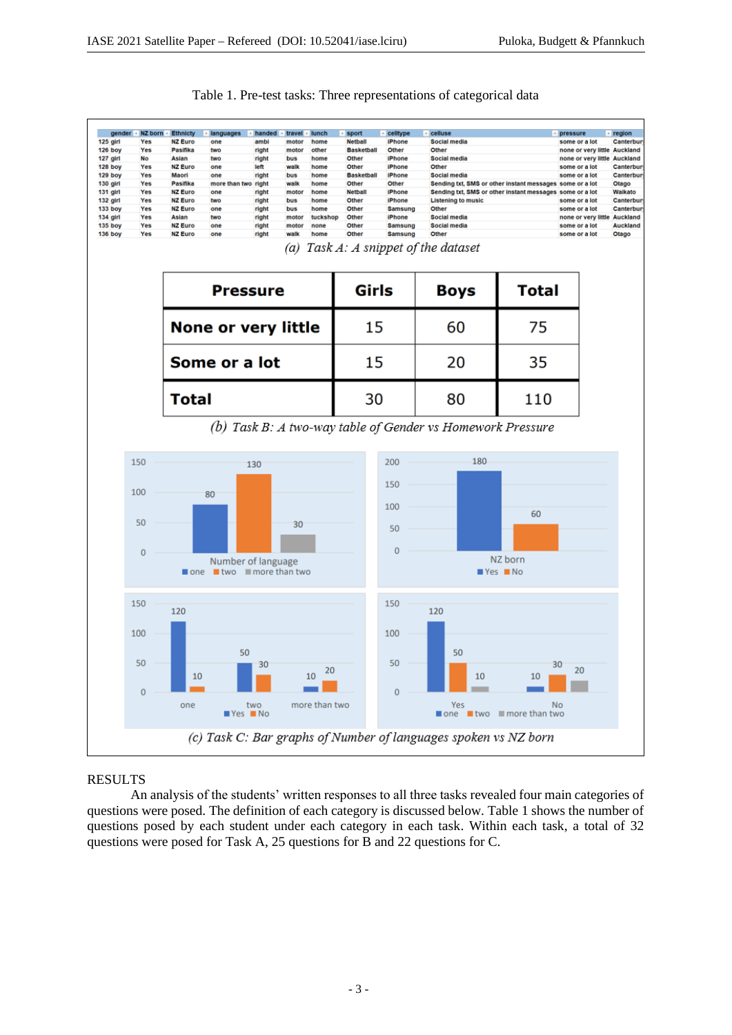┑

| Social media<br>Pasifika<br><b>Basketball</b><br>Other<br>Yes<br>two<br>right<br>motor<br>other<br>Other<br>none or very little Auckland<br>Asian<br>Social media<br>No<br>two<br>right<br>bus<br>home<br>Other<br><b>iPhone</b><br>none or very little Auckland<br><b>NZ Euro</b><br>Other<br>128 boy<br>Yes<br>left<br>walk<br>home<br>Other<br><b>IPhone</b><br>some or a lot<br>one<br>129 boy<br>Yes<br>Maori<br>right<br>bus<br>home<br><b>Basketball</b><br><b>iPhone</b><br>Social media<br>one<br>some or a lot<br>130 girl<br>Yes<br>Pasifika<br>more than two<br>right<br>walk<br>home<br>Other<br>Other<br>Sending txt, SMS or other instant messages some or a lot<br>131 girl<br>Yes<br><b>NZ Euro</b><br>right<br><b>Netball</b><br><b>iPhone</b><br>Sending txt, SMS or other instant messages some or a lot<br>Waikato<br>one<br>motor<br>home<br>132 girl<br>Yes<br><b>NZ Euro</b><br>right<br>Other<br><b>IPhone</b><br><b>Listening to music</b><br>Canterbur<br>two<br>bus<br>home<br>some or a lot<br>133 boy<br>Yes<br><b>NZ Euro</b><br>right<br>Other<br>Samsung<br>Canterbur<br>one<br>bus<br>home<br>Other<br>some or a lot<br>134 girl<br>Yes<br>Asian<br>right<br>Other<br>Social media<br>two<br>motor<br>tuckshop<br><b>iPhone</b><br>none or very little<br><b>135 boy</b><br>Yes<br><b>NZ Euro</b><br>right<br>Other<br>Social media<br>one<br>motor<br>none<br>Samsung<br>some or a lot<br><b>136 boy</b><br><b>NZ Euro</b><br>right<br>Other<br>Samsung<br>Other<br>Yes<br>one<br>walk<br>home<br>some or a lot<br>Task A: A snippet of the dataset<br>(a)<br>Girls<br><b>Total</b><br><b>Boys</b><br><b>Pressure</b><br>None or very little<br>15<br>60<br>75<br>15<br>20<br>35<br>Some or a lot<br>30<br>80<br>110<br><b>Total</b><br>(b) Task B: A two-way table of Gender vs Homework Pressure<br>180<br>150<br>200<br>130<br>150<br>100<br>80<br>100<br>60<br>50<br>30<br>50<br>$\mathbf{0}$<br>$\mathbf{0}$<br>NZ born<br>Number of language<br>$\blacksquare$ two $\blacksquare$ more than two<br>$Yes$ No<br>one<br>150<br>150<br>120<br>120<br>100<br>100<br>50<br>50<br>50<br>50<br>30<br>30<br>20<br>20<br>10<br>10<br>10<br>10<br>$\mathbf{0}$<br>$\mathbf{0}$<br>more than two<br>one<br>two<br>Yes<br>No<br>$Yes$ No<br>$\blacksquare$ one $\blacksquare$ two $\blacksquare$ more than two | gender                     | <b>NZ born</b> | <b>Ethnicty</b> | languages | handed | travel | lunch | sport          | celltype      | celluse |  |  | pressure      | region          |
|---------------------------------------------------------------------------------------------------------------------------------------------------------------------------------------------------------------------------------------------------------------------------------------------------------------------------------------------------------------------------------------------------------------------------------------------------------------------------------------------------------------------------------------------------------------------------------------------------------------------------------------------------------------------------------------------------------------------------------------------------------------------------------------------------------------------------------------------------------------------------------------------------------------------------------------------------------------------------------------------------------------------------------------------------------------------------------------------------------------------------------------------------------------------------------------------------------------------------------------------------------------------------------------------------------------------------------------------------------------------------------------------------------------------------------------------------------------------------------------------------------------------------------------------------------------------------------------------------------------------------------------------------------------------------------------------------------------------------------------------------------------------------------------------------------------------------------------------------------------------------------------------------------------------------------------------------------------------------------------------------------------------------------------------------------------------------------------------------------------------------------------------------------------------------------------------------------------------------------------------------------------------------------------------------------------------------------------------|----------------------------|----------------|-----------------|-----------|--------|--------|-------|----------------|---------------|---------|--|--|---------------|-----------------|
|                                                                                                                                                                                                                                                                                                                                                                                                                                                                                                                                                                                                                                                                                                                                                                                                                                                                                                                                                                                                                                                                                                                                                                                                                                                                                                                                                                                                                                                                                                                                                                                                                                                                                                                                                                                                                                                                                                                                                                                                                                                                                                                                                                                                                                                                                                                                             | 125 girl<br><b>126 boy</b> | Yes            | <b>NZ Euro</b>  | one       | ambi   | motor  | home  | <b>Netball</b> | <b>iPhone</b> |         |  |  | some or a lot | Canterbur       |
|                                                                                                                                                                                                                                                                                                                                                                                                                                                                                                                                                                                                                                                                                                                                                                                                                                                                                                                                                                                                                                                                                                                                                                                                                                                                                                                                                                                                                                                                                                                                                                                                                                                                                                                                                                                                                                                                                                                                                                                                                                                                                                                                                                                                                                                                                                                                             | 127 girl                   |                |                 |           |        |        |       |                |               |         |  |  |               |                 |
|                                                                                                                                                                                                                                                                                                                                                                                                                                                                                                                                                                                                                                                                                                                                                                                                                                                                                                                                                                                                                                                                                                                                                                                                                                                                                                                                                                                                                                                                                                                                                                                                                                                                                                                                                                                                                                                                                                                                                                                                                                                                                                                                                                                                                                                                                                                                             |                            |                |                 |           |        |        |       |                |               |         |  |  |               | Canterbur       |
|                                                                                                                                                                                                                                                                                                                                                                                                                                                                                                                                                                                                                                                                                                                                                                                                                                                                                                                                                                                                                                                                                                                                                                                                                                                                                                                                                                                                                                                                                                                                                                                                                                                                                                                                                                                                                                                                                                                                                                                                                                                                                                                                                                                                                                                                                                                                             |                            |                |                 |           |        |        |       |                |               |         |  |  |               | Canterbur       |
|                                                                                                                                                                                                                                                                                                                                                                                                                                                                                                                                                                                                                                                                                                                                                                                                                                                                                                                                                                                                                                                                                                                                                                                                                                                                                                                                                                                                                                                                                                                                                                                                                                                                                                                                                                                                                                                                                                                                                                                                                                                                                                                                                                                                                                                                                                                                             |                            |                |                 |           |        |        |       |                |               |         |  |  |               | Otago           |
|                                                                                                                                                                                                                                                                                                                                                                                                                                                                                                                                                                                                                                                                                                                                                                                                                                                                                                                                                                                                                                                                                                                                                                                                                                                                                                                                                                                                                                                                                                                                                                                                                                                                                                                                                                                                                                                                                                                                                                                                                                                                                                                                                                                                                                                                                                                                             |                            |                |                 |           |        |        |       |                |               |         |  |  |               |                 |
|                                                                                                                                                                                                                                                                                                                                                                                                                                                                                                                                                                                                                                                                                                                                                                                                                                                                                                                                                                                                                                                                                                                                                                                                                                                                                                                                                                                                                                                                                                                                                                                                                                                                                                                                                                                                                                                                                                                                                                                                                                                                                                                                                                                                                                                                                                                                             |                            |                |                 |           |        |        |       |                |               |         |  |  |               |                 |
|                                                                                                                                                                                                                                                                                                                                                                                                                                                                                                                                                                                                                                                                                                                                                                                                                                                                                                                                                                                                                                                                                                                                                                                                                                                                                                                                                                                                                                                                                                                                                                                                                                                                                                                                                                                                                                                                                                                                                                                                                                                                                                                                                                                                                                                                                                                                             |                            |                |                 |           |        |        |       |                |               |         |  |  |               | <b>Auckland</b> |
|                                                                                                                                                                                                                                                                                                                                                                                                                                                                                                                                                                                                                                                                                                                                                                                                                                                                                                                                                                                                                                                                                                                                                                                                                                                                                                                                                                                                                                                                                                                                                                                                                                                                                                                                                                                                                                                                                                                                                                                                                                                                                                                                                                                                                                                                                                                                             |                            |                |                 |           |        |        |       |                |               |         |  |  |               | Auckland        |
|                                                                                                                                                                                                                                                                                                                                                                                                                                                                                                                                                                                                                                                                                                                                                                                                                                                                                                                                                                                                                                                                                                                                                                                                                                                                                                                                                                                                                                                                                                                                                                                                                                                                                                                                                                                                                                                                                                                                                                                                                                                                                                                                                                                                                                                                                                                                             |                            |                |                 |           |        |        |       |                |               |         |  |  |               | Otago           |
|                                                                                                                                                                                                                                                                                                                                                                                                                                                                                                                                                                                                                                                                                                                                                                                                                                                                                                                                                                                                                                                                                                                                                                                                                                                                                                                                                                                                                                                                                                                                                                                                                                                                                                                                                                                                                                                                                                                                                                                                                                                                                                                                                                                                                                                                                                                                             |                            |                |                 |           |        |        |       |                |               |         |  |  |               |                 |
|                                                                                                                                                                                                                                                                                                                                                                                                                                                                                                                                                                                                                                                                                                                                                                                                                                                                                                                                                                                                                                                                                                                                                                                                                                                                                                                                                                                                                                                                                                                                                                                                                                                                                                                                                                                                                                                                                                                                                                                                                                                                                                                                                                                                                                                                                                                                             |                            |                |                 |           |        |        |       |                |               |         |  |  |               |                 |
|                                                                                                                                                                                                                                                                                                                                                                                                                                                                                                                                                                                                                                                                                                                                                                                                                                                                                                                                                                                                                                                                                                                                                                                                                                                                                                                                                                                                                                                                                                                                                                                                                                                                                                                                                                                                                                                                                                                                                                                                                                                                                                                                                                                                                                                                                                                                             |                            |                |                 |           |        |        |       |                |               |         |  |  |               |                 |
|                                                                                                                                                                                                                                                                                                                                                                                                                                                                                                                                                                                                                                                                                                                                                                                                                                                                                                                                                                                                                                                                                                                                                                                                                                                                                                                                                                                                                                                                                                                                                                                                                                                                                                                                                                                                                                                                                                                                                                                                                                                                                                                                                                                                                                                                                                                                             |                            |                |                 |           |        |        |       |                |               |         |  |  |               |                 |
|                                                                                                                                                                                                                                                                                                                                                                                                                                                                                                                                                                                                                                                                                                                                                                                                                                                                                                                                                                                                                                                                                                                                                                                                                                                                                                                                                                                                                                                                                                                                                                                                                                                                                                                                                                                                                                                                                                                                                                                                                                                                                                                                                                                                                                                                                                                                             |                            |                |                 |           |        |        |       |                |               |         |  |  |               |                 |
|                                                                                                                                                                                                                                                                                                                                                                                                                                                                                                                                                                                                                                                                                                                                                                                                                                                                                                                                                                                                                                                                                                                                                                                                                                                                                                                                                                                                                                                                                                                                                                                                                                                                                                                                                                                                                                                                                                                                                                                                                                                                                                                                                                                                                                                                                                                                             |                            |                |                 |           |        |        |       |                |               |         |  |  |               |                 |
|                                                                                                                                                                                                                                                                                                                                                                                                                                                                                                                                                                                                                                                                                                                                                                                                                                                                                                                                                                                                                                                                                                                                                                                                                                                                                                                                                                                                                                                                                                                                                                                                                                                                                                                                                                                                                                                                                                                                                                                                                                                                                                                                                                                                                                                                                                                                             |                            |                |                 |           |        |        |       |                |               |         |  |  |               |                 |
|                                                                                                                                                                                                                                                                                                                                                                                                                                                                                                                                                                                                                                                                                                                                                                                                                                                                                                                                                                                                                                                                                                                                                                                                                                                                                                                                                                                                                                                                                                                                                                                                                                                                                                                                                                                                                                                                                                                                                                                                                                                                                                                                                                                                                                                                                                                                             |                            |                |                 |           |        |        |       |                |               |         |  |  |               |                 |
|                                                                                                                                                                                                                                                                                                                                                                                                                                                                                                                                                                                                                                                                                                                                                                                                                                                                                                                                                                                                                                                                                                                                                                                                                                                                                                                                                                                                                                                                                                                                                                                                                                                                                                                                                                                                                                                                                                                                                                                                                                                                                                                                                                                                                                                                                                                                             |                            |                |                 |           |        |        |       |                |               |         |  |  |               |                 |
|                                                                                                                                                                                                                                                                                                                                                                                                                                                                                                                                                                                                                                                                                                                                                                                                                                                                                                                                                                                                                                                                                                                                                                                                                                                                                                                                                                                                                                                                                                                                                                                                                                                                                                                                                                                                                                                                                                                                                                                                                                                                                                                                                                                                                                                                                                                                             |                            |                |                 |           |        |        |       |                |               |         |  |  |               |                 |
|                                                                                                                                                                                                                                                                                                                                                                                                                                                                                                                                                                                                                                                                                                                                                                                                                                                                                                                                                                                                                                                                                                                                                                                                                                                                                                                                                                                                                                                                                                                                                                                                                                                                                                                                                                                                                                                                                                                                                                                                                                                                                                                                                                                                                                                                                                                                             |                            |                |                 |           |        |        |       |                |               |         |  |  |               |                 |
|                                                                                                                                                                                                                                                                                                                                                                                                                                                                                                                                                                                                                                                                                                                                                                                                                                                                                                                                                                                                                                                                                                                                                                                                                                                                                                                                                                                                                                                                                                                                                                                                                                                                                                                                                                                                                                                                                                                                                                                                                                                                                                                                                                                                                                                                                                                                             |                            |                |                 |           |        |        |       |                |               |         |  |  |               |                 |
|                                                                                                                                                                                                                                                                                                                                                                                                                                                                                                                                                                                                                                                                                                                                                                                                                                                                                                                                                                                                                                                                                                                                                                                                                                                                                                                                                                                                                                                                                                                                                                                                                                                                                                                                                                                                                                                                                                                                                                                                                                                                                                                                                                                                                                                                                                                                             |                            |                |                 |           |        |        |       |                |               |         |  |  |               |                 |
|                                                                                                                                                                                                                                                                                                                                                                                                                                                                                                                                                                                                                                                                                                                                                                                                                                                                                                                                                                                                                                                                                                                                                                                                                                                                                                                                                                                                                                                                                                                                                                                                                                                                                                                                                                                                                                                                                                                                                                                                                                                                                                                                                                                                                                                                                                                                             |                            |                |                 |           |        |        |       |                |               |         |  |  |               |                 |
|                                                                                                                                                                                                                                                                                                                                                                                                                                                                                                                                                                                                                                                                                                                                                                                                                                                                                                                                                                                                                                                                                                                                                                                                                                                                                                                                                                                                                                                                                                                                                                                                                                                                                                                                                                                                                                                                                                                                                                                                                                                                                                                                                                                                                                                                                                                                             |                            |                |                 |           |        |        |       |                |               |         |  |  |               |                 |
|                                                                                                                                                                                                                                                                                                                                                                                                                                                                                                                                                                                                                                                                                                                                                                                                                                                                                                                                                                                                                                                                                                                                                                                                                                                                                                                                                                                                                                                                                                                                                                                                                                                                                                                                                                                                                                                                                                                                                                                                                                                                                                                                                                                                                                                                                                                                             |                            |                |                 |           |        |        |       |                |               |         |  |  |               |                 |
|                                                                                                                                                                                                                                                                                                                                                                                                                                                                                                                                                                                                                                                                                                                                                                                                                                                                                                                                                                                                                                                                                                                                                                                                                                                                                                                                                                                                                                                                                                                                                                                                                                                                                                                                                                                                                                                                                                                                                                                                                                                                                                                                                                                                                                                                                                                                             |                            |                |                 |           |        |        |       |                |               |         |  |  |               |                 |
|                                                                                                                                                                                                                                                                                                                                                                                                                                                                                                                                                                                                                                                                                                                                                                                                                                                                                                                                                                                                                                                                                                                                                                                                                                                                                                                                                                                                                                                                                                                                                                                                                                                                                                                                                                                                                                                                                                                                                                                                                                                                                                                                                                                                                                                                                                                                             |                            |                |                 |           |        |        |       |                |               |         |  |  |               |                 |
|                                                                                                                                                                                                                                                                                                                                                                                                                                                                                                                                                                                                                                                                                                                                                                                                                                                                                                                                                                                                                                                                                                                                                                                                                                                                                                                                                                                                                                                                                                                                                                                                                                                                                                                                                                                                                                                                                                                                                                                                                                                                                                                                                                                                                                                                                                                                             |                            |                |                 |           |        |        |       |                |               |         |  |  |               |                 |
|                                                                                                                                                                                                                                                                                                                                                                                                                                                                                                                                                                                                                                                                                                                                                                                                                                                                                                                                                                                                                                                                                                                                                                                                                                                                                                                                                                                                                                                                                                                                                                                                                                                                                                                                                                                                                                                                                                                                                                                                                                                                                                                                                                                                                                                                                                                                             |                            |                |                 |           |        |        |       |                |               |         |  |  |               |                 |
|                                                                                                                                                                                                                                                                                                                                                                                                                                                                                                                                                                                                                                                                                                                                                                                                                                                                                                                                                                                                                                                                                                                                                                                                                                                                                                                                                                                                                                                                                                                                                                                                                                                                                                                                                                                                                                                                                                                                                                                                                                                                                                                                                                                                                                                                                                                                             |                            |                |                 |           |        |        |       |                |               |         |  |  |               |                 |
|                                                                                                                                                                                                                                                                                                                                                                                                                                                                                                                                                                                                                                                                                                                                                                                                                                                                                                                                                                                                                                                                                                                                                                                                                                                                                                                                                                                                                                                                                                                                                                                                                                                                                                                                                                                                                                                                                                                                                                                                                                                                                                                                                                                                                                                                                                                                             |                            |                |                 |           |        |        |       |                |               |         |  |  |               |                 |
|                                                                                                                                                                                                                                                                                                                                                                                                                                                                                                                                                                                                                                                                                                                                                                                                                                                                                                                                                                                                                                                                                                                                                                                                                                                                                                                                                                                                                                                                                                                                                                                                                                                                                                                                                                                                                                                                                                                                                                                                                                                                                                                                                                                                                                                                                                                                             |                            |                |                 |           |        |        |       |                |               |         |  |  |               |                 |
|                                                                                                                                                                                                                                                                                                                                                                                                                                                                                                                                                                                                                                                                                                                                                                                                                                                                                                                                                                                                                                                                                                                                                                                                                                                                                                                                                                                                                                                                                                                                                                                                                                                                                                                                                                                                                                                                                                                                                                                                                                                                                                                                                                                                                                                                                                                                             |                            |                |                 |           |        |        |       |                |               |         |  |  |               |                 |
|                                                                                                                                                                                                                                                                                                                                                                                                                                                                                                                                                                                                                                                                                                                                                                                                                                                                                                                                                                                                                                                                                                                                                                                                                                                                                                                                                                                                                                                                                                                                                                                                                                                                                                                                                                                                                                                                                                                                                                                                                                                                                                                                                                                                                                                                                                                                             |                            |                |                 |           |        |        |       |                |               |         |  |  |               |                 |
|                                                                                                                                                                                                                                                                                                                                                                                                                                                                                                                                                                                                                                                                                                                                                                                                                                                                                                                                                                                                                                                                                                                                                                                                                                                                                                                                                                                                                                                                                                                                                                                                                                                                                                                                                                                                                                                                                                                                                                                                                                                                                                                                                                                                                                                                                                                                             |                            |                |                 |           |        |        |       |                |               |         |  |  |               |                 |
|                                                                                                                                                                                                                                                                                                                                                                                                                                                                                                                                                                                                                                                                                                                                                                                                                                                                                                                                                                                                                                                                                                                                                                                                                                                                                                                                                                                                                                                                                                                                                                                                                                                                                                                                                                                                                                                                                                                                                                                                                                                                                                                                                                                                                                                                                                                                             |                            |                |                 |           |        |        |       |                |               |         |  |  |               |                 |
|                                                                                                                                                                                                                                                                                                                                                                                                                                                                                                                                                                                                                                                                                                                                                                                                                                                                                                                                                                                                                                                                                                                                                                                                                                                                                                                                                                                                                                                                                                                                                                                                                                                                                                                                                                                                                                                                                                                                                                                                                                                                                                                                                                                                                                                                                                                                             |                            |                |                 |           |        |        |       |                |               |         |  |  |               |                 |
|                                                                                                                                                                                                                                                                                                                                                                                                                                                                                                                                                                                                                                                                                                                                                                                                                                                                                                                                                                                                                                                                                                                                                                                                                                                                                                                                                                                                                                                                                                                                                                                                                                                                                                                                                                                                                                                                                                                                                                                                                                                                                                                                                                                                                                                                                                                                             |                            |                |                 |           |        |        |       |                |               |         |  |  |               |                 |
|                                                                                                                                                                                                                                                                                                                                                                                                                                                                                                                                                                                                                                                                                                                                                                                                                                                                                                                                                                                                                                                                                                                                                                                                                                                                                                                                                                                                                                                                                                                                                                                                                                                                                                                                                                                                                                                                                                                                                                                                                                                                                                                                                                                                                                                                                                                                             |                            |                |                 |           |        |        |       |                |               |         |  |  |               |                 |
|                                                                                                                                                                                                                                                                                                                                                                                                                                                                                                                                                                                                                                                                                                                                                                                                                                                                                                                                                                                                                                                                                                                                                                                                                                                                                                                                                                                                                                                                                                                                                                                                                                                                                                                                                                                                                                                                                                                                                                                                                                                                                                                                                                                                                                                                                                                                             |                            |                |                 |           |        |        |       |                |               |         |  |  |               |                 |
| (c) Task C: Bar graphs of Number of languages spoken vs NZ born                                                                                                                                                                                                                                                                                                                                                                                                                                                                                                                                                                                                                                                                                                                                                                                                                                                                                                                                                                                                                                                                                                                                                                                                                                                                                                                                                                                                                                                                                                                                                                                                                                                                                                                                                                                                                                                                                                                                                                                                                                                                                                                                                                                                                                                                             |                            |                |                 |           |        |        |       |                |               |         |  |  |               |                 |
|                                                                                                                                                                                                                                                                                                                                                                                                                                                                                                                                                                                                                                                                                                                                                                                                                                                                                                                                                                                                                                                                                                                                                                                                                                                                                                                                                                                                                                                                                                                                                                                                                                                                                                                                                                                                                                                                                                                                                                                                                                                                                                                                                                                                                                                                                                                                             |                            |                |                 |           |        |        |       |                |               |         |  |  |               |                 |

# Table 1. Pre-test tasks: Three representations of categorical data

### **RESULTS**

 $\Box$ 

An analysis of the students' written responses to all three tasks revealed four main categories of questions were posed. The definition of each category is discussed below. Table 1 shows the number of questions posed by each student under each category in each task. Within each task, a total of 32 questions were posed for Task A, 25 questions for B and 22 questions for C.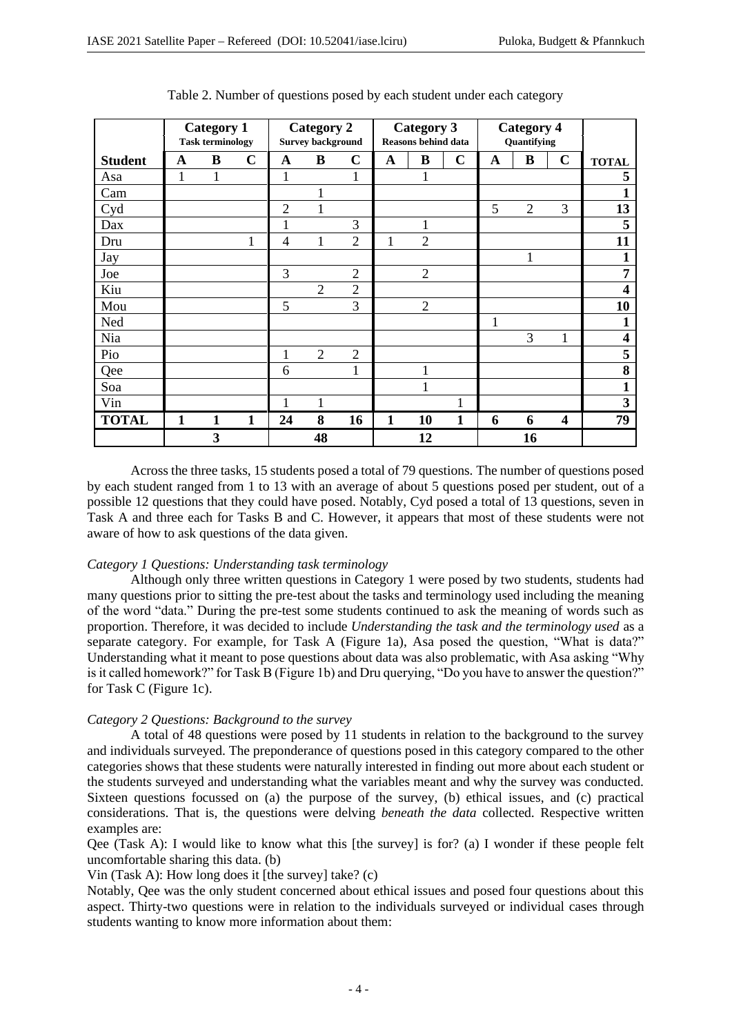|                | <b>Category 1</b><br><b>Task terminology</b> |   |   | <b>Category 2</b><br><b>Survey background</b> |                |                | <b>Category 3</b><br><b>Reasons behind data</b> |                |              | <b>Category 4</b><br>Quantifying |                |                         |                         |
|----------------|----------------------------------------------|---|---|-----------------------------------------------|----------------|----------------|-------------------------------------------------|----------------|--------------|----------------------------------|----------------|-------------------------|-------------------------|
| <b>Student</b> | A                                            | B | C | A                                             | B              | $\mathbf C$    | A                                               | B              | $\mathbf C$  | A                                | B              | $\mathbf C$             | <b>TOTAL</b>            |
| Asa            | 1                                            | ı |   | 1                                             |                | 1              |                                                 | 1              |              |                                  |                |                         | 5                       |
| Cam            |                                              |   |   |                                               | -1             |                |                                                 |                |              |                                  |                |                         |                         |
| Cyd            |                                              |   |   | $\overline{2}$                                | 1              |                |                                                 |                |              | 5                                | $\overline{2}$ | 3                       | 13                      |
| Dax            |                                              |   |   | 1                                             |                | 3              |                                                 |                |              |                                  |                |                         | 5                       |
| Dru            |                                              |   | 1 | $\overline{4}$                                | $\mathbf{1}$   | $\overline{2}$ | 1                                               | $\overline{2}$ |              |                                  |                |                         | 11                      |
| Jay            |                                              |   |   |                                               |                |                |                                                 |                |              |                                  | 1              |                         | 1                       |
| Joe            |                                              |   |   | 3                                             |                | $\overline{2}$ |                                                 | $\overline{2}$ |              |                                  |                |                         | 7                       |
| Kiu            |                                              |   |   |                                               | $\overline{2}$ | $\overline{2}$ |                                                 |                |              |                                  |                |                         | 4                       |
| Mou            |                                              |   |   | 5                                             |                | 3              |                                                 | $\overline{2}$ |              |                                  |                |                         | 10                      |
| Ned            |                                              |   |   |                                               |                |                |                                                 |                |              | 1                                |                |                         | 1                       |
| Nia            |                                              |   |   |                                               |                |                |                                                 |                |              |                                  | 3              | $\mathbf{1}$            | $\overline{\mathbf{4}}$ |
| Pio            |                                              |   |   | 1                                             | $\overline{2}$ | $\overline{2}$ |                                                 |                |              |                                  |                |                         | 5                       |
| Qee            |                                              |   |   | 6                                             |                | 1              |                                                 | $\mathbf{1}$   |              |                                  |                |                         | 8                       |
| Soa            |                                              |   |   |                                               |                |                |                                                 | 1              |              |                                  |                |                         | 1                       |
| Vin            |                                              |   |   | 1                                             | 1              |                |                                                 |                |              |                                  |                |                         | 3                       |
| <b>TOTAL</b>   | 1                                            | 1 | 1 | 24                                            | 8              | 16             | 1                                               | 10             | $\mathbf{1}$ | 6                                | 6              | $\overline{\mathbf{4}}$ | 79                      |
|                |                                              | 3 |   |                                               | 48             |                |                                                 | 12             |              |                                  | 16             |                         |                         |

Table 2. Number of questions posed by each student under each category

Across the three tasks, 15 students posed a total of 79 questions. The number of questions posed by each student ranged from 1 to 13 with an average of about 5 questions posed per student, out of a possible 12 questions that they could have posed. Notably, Cyd posed a total of 13 questions, seven in Task A and three each for Tasks B and C. However, it appears that most of these students were not aware of how to ask questions of the data given.

### *Category 1 Questions: Understanding task terminology*

Although only three written questions in Category 1 were posed by two students, students had many questions prior to sitting the pre-test about the tasks and terminology used including the meaning of the word "data." During the pre-test some students continued to ask the meaning of words such as proportion. Therefore, it was decided to include *Understanding the task and the terminology used* as a separate category. For example, for Task A (Figure 1a), Asa posed the question, "What is data?" Understanding what it meant to pose questions about data was also problematic, with Asa asking "Why is it called homework?" for Task B (Figure 1b) and Dru querying, "Do you have to answer the question?" for Task C (Figure 1c).

#### *Category 2 Questions: Background to the survey*

A total of 48 questions were posed by 11 students in relation to the background to the survey and individuals surveyed. The preponderance of questions posed in this category compared to the other categories shows that these students were naturally interested in finding out more about each student or the students surveyed and understanding what the variables meant and why the survey was conducted. Sixteen questions focussed on (a) the purpose of the survey, (b) ethical issues, and (c) practical considerations. That is, the questions were delving *beneath the data* collected. Respective written examples are:

Qee (Task A): I would like to know what this [the survey] is for? (a) I wonder if these people felt uncomfortable sharing this data. (b)

Vin (Task A): How long does it [the survey] take? (c)

Notably, Qee was the only student concerned about ethical issues and posed four questions about this aspect. Thirty-two questions were in relation to the individuals surveyed or individual cases through students wanting to know more information about them: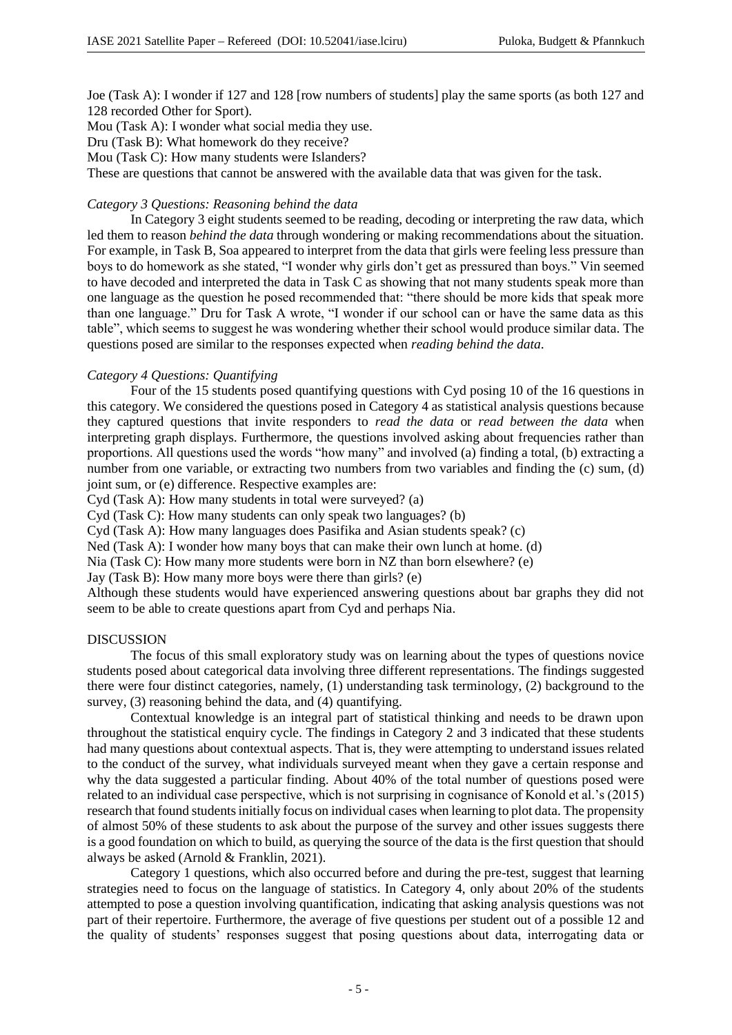Joe (Task A): I wonder if 127 and 128 [row numbers of students] play the same sports (as both 127 and 128 recorded Other for Sport).

Mou (Task A): I wonder what social media they use.

Dru (Task B): What homework do they receive?

Mou (Task C): How many students were Islanders?

These are questions that cannot be answered with the available data that was given for the task.

### *Category 3 Questions: Reasoning behind the data*

In Category 3 eight students seemed to be reading, decoding or interpreting the raw data, which led them to reason *behind the data* through wondering or making recommendations about the situation. For example, in Task B, Soa appeared to interpret from the data that girls were feeling less pressure than boys to do homework as she stated, "I wonder why girls don't get as pressured than boys." Vin seemed to have decoded and interpreted the data in Task C as showing that not many students speak more than one language as the question he posed recommended that: "there should be more kids that speak more than one language." Dru for Task A wrote, "I wonder if our school can or have the same data as this table", which seems to suggest he was wondering whether their school would produce similar data. The questions posed are similar to the responses expected when *reading behind the data*.

#### *Category 4 Questions: Quantifying*

Four of the 15 students posed quantifying questions with Cyd posing 10 of the 16 questions in this category. We considered the questions posed in Category 4 as statistical analysis questions because they captured questions that invite responders to *read the data* or *read between the data* when interpreting graph displays. Furthermore, the questions involved asking about frequencies rather than proportions. All questions used the words "how many" and involved (a) finding a total, (b) extracting a number from one variable, or extracting two numbers from two variables and finding the (c) sum, (d) joint sum, or (e) difference. Respective examples are:

Cyd (Task A): How many students in total were surveyed? (a)

Cyd (Task C): How many students can only speak two languages? (b)

Cyd (Task A): How many languages does Pasifika and Asian students speak? (c)

Ned (Task A): I wonder how many boys that can make their own lunch at home. (d)

Nia (Task C): How many more students were born in NZ than born elsewhere? (e)

Jay (Task B): How many more boys were there than girls? (e)

Although these students would have experienced answering questions about bar graphs they did not seem to be able to create questions apart from Cyd and perhaps Nia.

#### DISCUSSION

The focus of this small exploratory study was on learning about the types of questions novice students posed about categorical data involving three different representations. The findings suggested there were four distinct categories, namely, (1) understanding task terminology, (2) background to the survey, (3) reasoning behind the data, and (4) quantifying.

Contextual knowledge is an integral part of statistical thinking and needs to be drawn upon throughout the statistical enquiry cycle. The findings in Category 2 and 3 indicated that these students had many questions about contextual aspects. That is, they were attempting to understand issues related to the conduct of the survey, what individuals surveyed meant when they gave a certain response and why the data suggested a particular finding. About 40% of the total number of questions posed were related to an individual case perspective, which is not surprising in cognisance of Konold et al.'s (2015) research that found students initially focus on individual cases when learning to plot data. The propensity of almost 50% of these students to ask about the purpose of the survey and other issues suggests there is a good foundation on which to build, as querying the source of the data is the first question that should always be asked (Arnold & Franklin, 2021).

Category 1 questions, which also occurred before and during the pre-test, suggest that learning strategies need to focus on the language of statistics. In Category 4, only about 20% of the students attempted to pose a question involving quantification, indicating that asking analysis questions was not part of their repertoire. Furthermore, the average of five questions per student out of a possible 12 and the quality of students' responses suggest that posing questions about data, interrogating data or